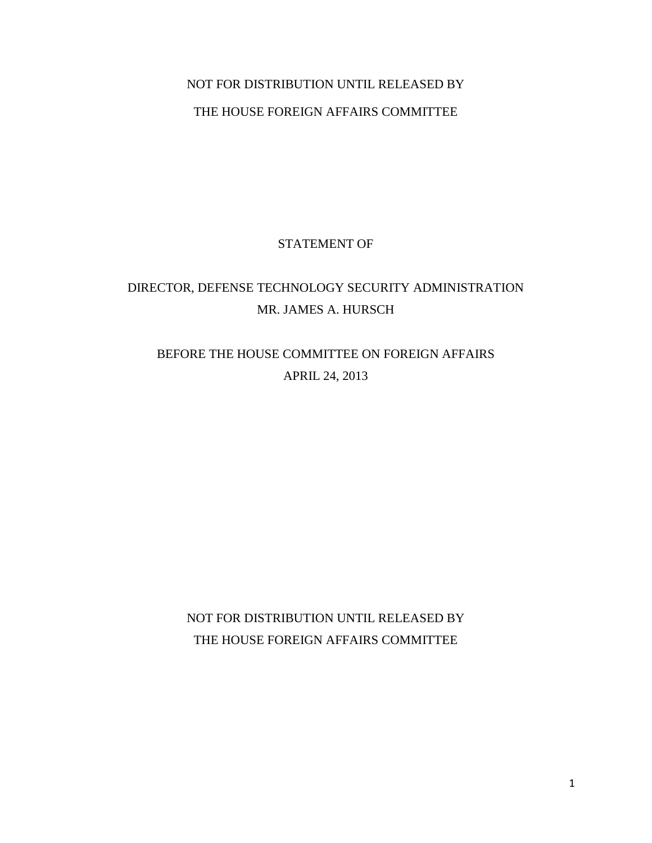## NOT FOR DISTRIBUTION UNTIL RELEASED BY THE HOUSE FOREIGN AFFAIRS COMMITTEE

## STATEMENT OF

## DIRECTOR, DEFENSE TECHNOLOGY SECURITY ADMINISTRATION MR. JAMES A. HURSCH

## BEFORE THE HOUSE COMMITTEE ON FOREIGN AFFAIRS APRIL 24, 2013

NOT FOR DISTRIBUTION UNTIL RELEASED BY THE HOUSE FOREIGN AFFAIRS COMMITTEE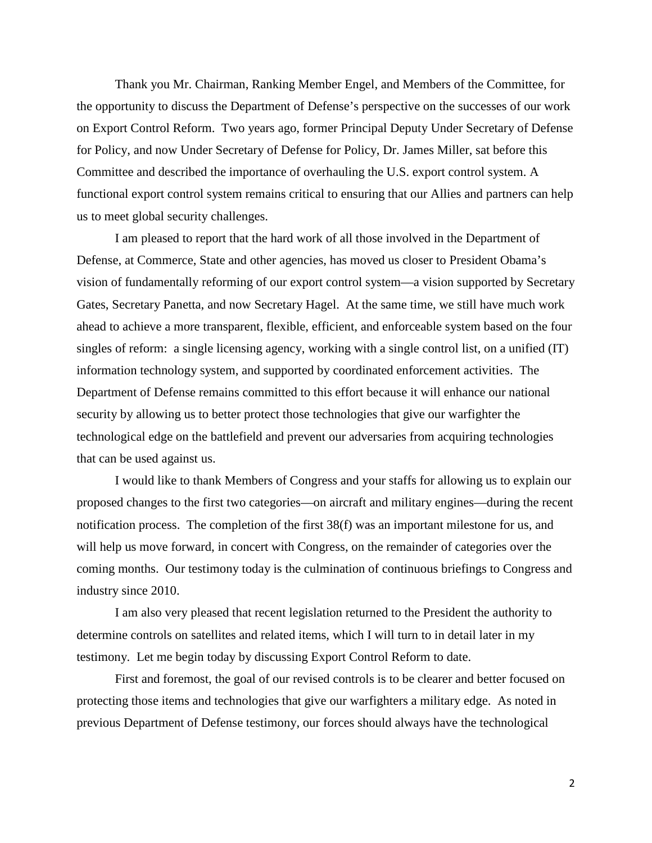Thank you Mr. Chairman, Ranking Member Engel, and Members of the Committee, for the opportunity to discuss the Department of Defense's perspective on the successes of our work on Export Control Reform. Two years ago, former Principal Deputy Under Secretary of Defense for Policy, and now Under Secretary of Defense for Policy, Dr. James Miller, sat before this Committee and described the importance of overhauling the U.S. export control system. A functional export control system remains critical to ensuring that our Allies and partners can help us to meet global security challenges.

I am pleased to report that the hard work of all those involved in the Department of Defense, at Commerce, State and other agencies, has moved us closer to President Obama's vision of fundamentally reforming of our export control system—a vision supported by Secretary Gates, Secretary Panetta, and now Secretary Hagel. At the same time, we still have much work ahead to achieve a more transparent, flexible, efficient, and enforceable system based on the four singles of reform: a single licensing agency, working with a single control list, on a unified (IT) information technology system, and supported by coordinated enforcement activities. The Department of Defense remains committed to this effort because it will enhance our national security by allowing us to better protect those technologies that give our warfighter the technological edge on the battlefield and prevent our adversaries from acquiring technologies that can be used against us.

I would like to thank Members of Congress and your staffs for allowing us to explain our proposed changes to the first two categories—on aircraft and military engines—during the recent notification process. The completion of the first 38(f) was an important milestone for us, and will help us move forward, in concert with Congress, on the remainder of categories over the coming months. Our testimony today is the culmination of continuous briefings to Congress and industry since 2010.

I am also very pleased that recent legislation returned to the President the authority to determine controls on satellites and related items, which I will turn to in detail later in my testimony. Let me begin today by discussing Export Control Reform to date.

First and foremost, the goal of our revised controls is to be clearer and better focused on protecting those items and technologies that give our warfighters a military edge. As noted in previous Department of Defense testimony, our forces should always have the technological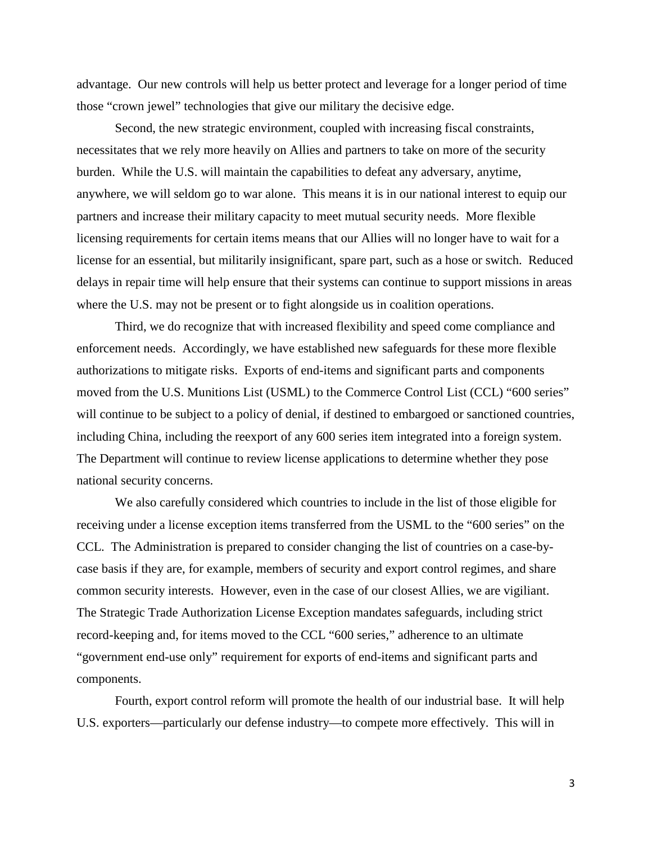advantage. Our new controls will help us better protect and leverage for a longer period of time those "crown jewel" technologies that give our military the decisive edge.

Second, the new strategic environment, coupled with increasing fiscal constraints, necessitates that we rely more heavily on Allies and partners to take on more of the security burden. While the U.S. will maintain the capabilities to defeat any adversary, anytime, anywhere, we will seldom go to war alone. This means it is in our national interest to equip our partners and increase their military capacity to meet mutual security needs. More flexible licensing requirements for certain items means that our Allies will no longer have to wait for a license for an essential, but militarily insignificant, spare part, such as a hose or switch. Reduced delays in repair time will help ensure that their systems can continue to support missions in areas where the U.S. may not be present or to fight alongside us in coalition operations.

Third, we do recognize that with increased flexibility and speed come compliance and enforcement needs. Accordingly, we have established new safeguards for these more flexible authorizations to mitigate risks. Exports of end-items and significant parts and components moved from the U.S. Munitions List (USML) to the Commerce Control List (CCL) "600 series" will continue to be subject to a policy of denial, if destined to embargoed or sanctioned countries, including China, including the reexport of any 600 series item integrated into a foreign system. The Department will continue to review license applications to determine whether they pose national security concerns.

We also carefully considered which countries to include in the list of those eligible for receiving under a license exception items transferred from the USML to the "600 series" on the CCL. The Administration is prepared to consider changing the list of countries on a case-bycase basis if they are, for example, members of security and export control regimes, and share common security interests. However, even in the case of our closest Allies, we are vigiliant. The Strategic Trade Authorization License Exception mandates safeguards, including strict record-keeping and, for items moved to the CCL "600 series," adherence to an ultimate "government end-use only" requirement for exports of end-items and significant parts and components.

Fourth, export control reform will promote the health of our industrial base. It will help U.S. exporters—particularly our defense industry—to compete more effectively. This will in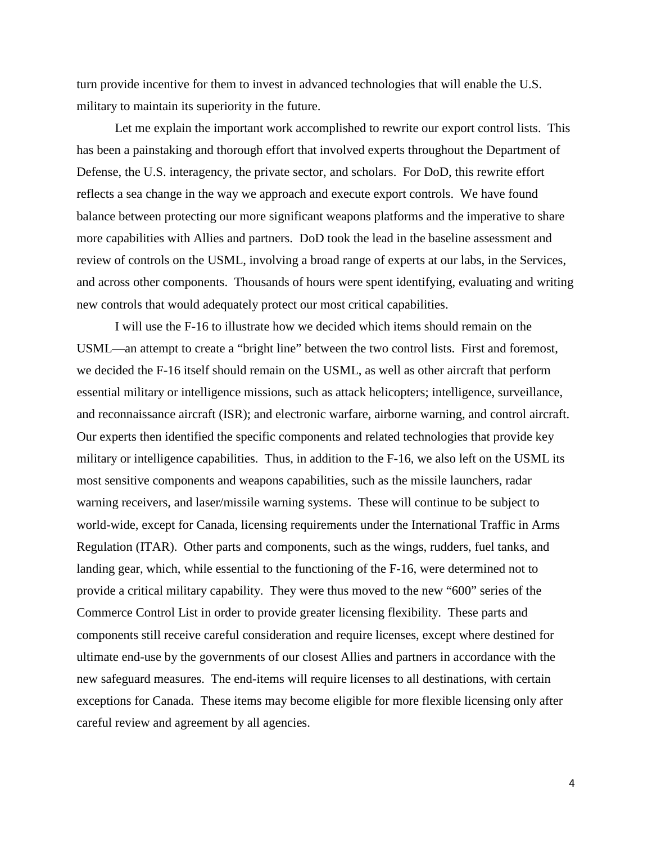turn provide incentive for them to invest in advanced technologies that will enable the U.S. military to maintain its superiority in the future.

Let me explain the important work accomplished to rewrite our export control lists. This has been a painstaking and thorough effort that involved experts throughout the Department of Defense, the U.S. interagency, the private sector, and scholars. For DoD, this rewrite effort reflects a sea change in the way we approach and execute export controls. We have found balance between protecting our more significant weapons platforms and the imperative to share more capabilities with Allies and partners. DoD took the lead in the baseline assessment and review of controls on the USML, involving a broad range of experts at our labs, in the Services, and across other components. Thousands of hours were spent identifying, evaluating and writing new controls that would adequately protect our most critical capabilities.

I will use the F-16 to illustrate how we decided which items should remain on the USML—an attempt to create a "bright line" between the two control lists. First and foremost, we decided the F-16 itself should remain on the USML, as well as other aircraft that perform essential military or intelligence missions, such as attack helicopters; intelligence, surveillance, and reconnaissance aircraft (ISR); and electronic warfare, airborne warning, and control aircraft. Our experts then identified the specific components and related technologies that provide key military or intelligence capabilities. Thus, in addition to the F-16, we also left on the USML its most sensitive components and weapons capabilities, such as the missile launchers, radar warning receivers, and laser/missile warning systems. These will continue to be subject to world-wide, except for Canada, licensing requirements under the International Traffic in Arms Regulation (ITAR). Other parts and components, such as the wings, rudders, fuel tanks, and landing gear, which, while essential to the functioning of the F-16, were determined not to provide a critical military capability. They were thus moved to the new "600" series of the Commerce Control List in order to provide greater licensing flexibility. These parts and components still receive careful consideration and require licenses, except where destined for ultimate end-use by the governments of our closest Allies and partners in accordance with the new safeguard measures. The end-items will require licenses to all destinations, with certain exceptions for Canada. These items may become eligible for more flexible licensing only after careful review and agreement by all agencies.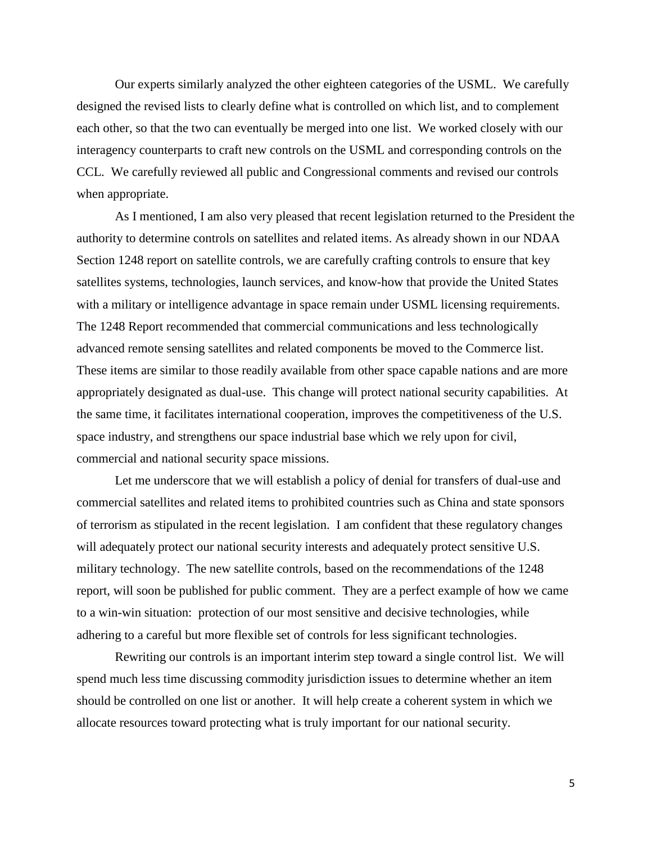Our experts similarly analyzed the other eighteen categories of the USML. We carefully designed the revised lists to clearly define what is controlled on which list, and to complement each other, so that the two can eventually be merged into one list. We worked closely with our interagency counterparts to craft new controls on the USML and corresponding controls on the CCL. We carefully reviewed all public and Congressional comments and revised our controls when appropriate.

As I mentioned, I am also very pleased that recent legislation returned to the President the authority to determine controls on satellites and related items. As already shown in our NDAA Section 1248 report on satellite controls, we are carefully crafting controls to ensure that key satellites systems, technologies, launch services, and know-how that provide the United States with a military or intelligence advantage in space remain under USML licensing requirements. The 1248 Report recommended that commercial communications and less technologically advanced remote sensing satellites and related components be moved to the Commerce list. These items are similar to those readily available from other space capable nations and are more appropriately designated as dual-use. This change will protect national security capabilities. At the same time, it facilitates international cooperation, improves the competitiveness of the U.S. space industry, and strengthens our space industrial base which we rely upon for civil, commercial and national security space missions.

Let me underscore that we will establish a policy of denial for transfers of dual-use and commercial satellites and related items to prohibited countries such as China and state sponsors of terrorism as stipulated in the recent legislation. I am confident that these regulatory changes will adequately protect our national security interests and adequately protect sensitive U.S. military technology. The new satellite controls, based on the recommendations of the 1248 report, will soon be published for public comment. They are a perfect example of how we came to a win-win situation: protection of our most sensitive and decisive technologies, while adhering to a careful but more flexible set of controls for less significant technologies.

Rewriting our controls is an important interim step toward a single control list. We will spend much less time discussing commodity jurisdiction issues to determine whether an item should be controlled on one list or another. It will help create a coherent system in which we allocate resources toward protecting what is truly important for our national security.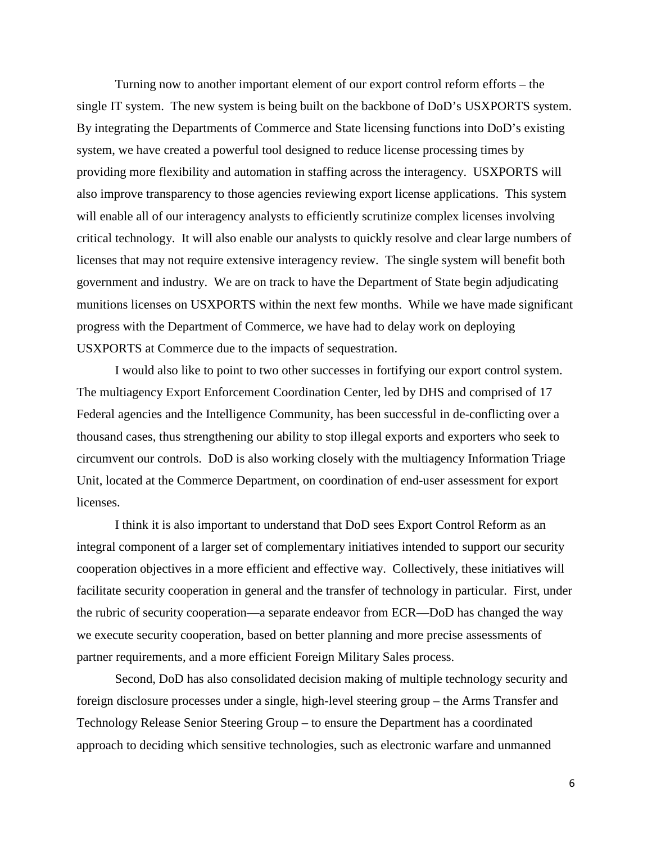Turning now to another important element of our export control reform efforts – the single IT system. The new system is being built on the backbone of DoD's USXPORTS system. By integrating the Departments of Commerce and State licensing functions into DoD's existing system, we have created a powerful tool designed to reduce license processing times by providing more flexibility and automation in staffing across the interagency. USXPORTS will also improve transparency to those agencies reviewing export license applications. This system will enable all of our interagency analysts to efficiently scrutinize complex licenses involving critical technology. It will also enable our analysts to quickly resolve and clear large numbers of licenses that may not require extensive interagency review. The single system will benefit both government and industry. We are on track to have the Department of State begin adjudicating munitions licenses on USXPORTS within the next few months. While we have made significant progress with the Department of Commerce, we have had to delay work on deploying USXPORTS at Commerce due to the impacts of sequestration.

I would also like to point to two other successes in fortifying our export control system. The multiagency Export Enforcement Coordination Center, led by DHS and comprised of 17 Federal agencies and the Intelligence Community, has been successful in de-conflicting over a thousand cases, thus strengthening our ability to stop illegal exports and exporters who seek to circumvent our controls. DoD is also working closely with the multiagency Information Triage Unit, located at the Commerce Department, on coordination of end-user assessment for export licenses.

I think it is also important to understand that DoD sees Export Control Reform as an integral component of a larger set of complementary initiatives intended to support our security cooperation objectives in a more efficient and effective way. Collectively, these initiatives will facilitate security cooperation in general and the transfer of technology in particular. First, under the rubric of security cooperation—a separate endeavor from ECR—DoD has changed the way we execute security cooperation, based on better planning and more precise assessments of partner requirements, and a more efficient Foreign Military Sales process.

Second, DoD has also consolidated decision making of multiple technology security and foreign disclosure processes under a single, high-level steering group – the Arms Transfer and Technology Release Senior Steering Group – to ensure the Department has a coordinated approach to deciding which sensitive technologies, such as electronic warfare and unmanned